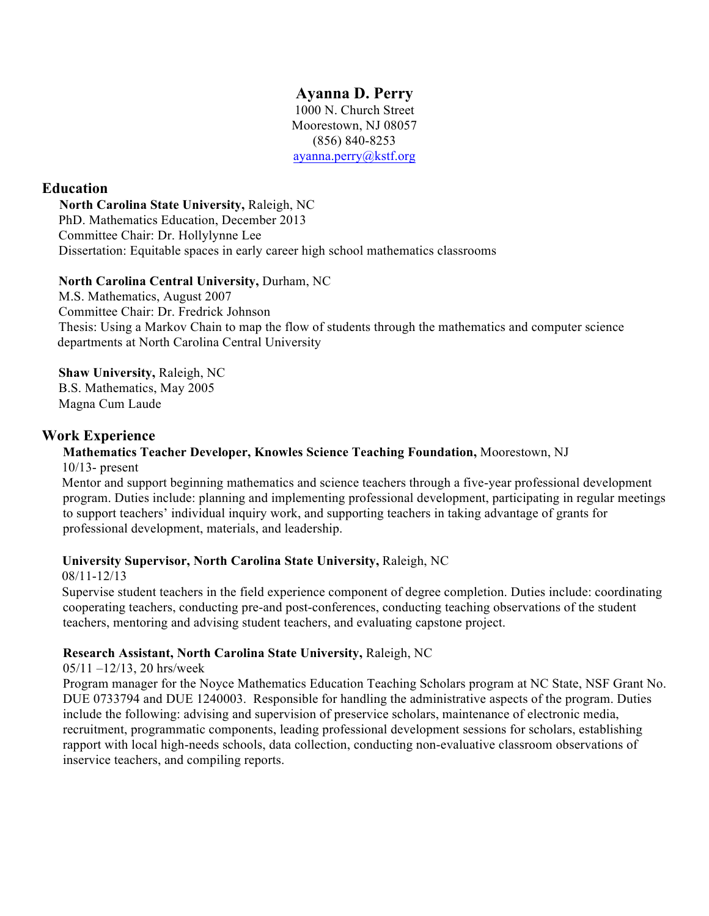# **Ayanna D. Perry**

1000 N. Church Street Moorestown, NJ 08057 (856) 840-8253 ayanna.perry@kstf.org

#### **Education**

 **North Carolina State University,** Raleigh, NC PhD. Mathematics Education, December 2013 Committee Chair: Dr. Hollylynne Lee Dissertation: Equitable spaces in early career high school mathematics classrooms

#### **North Carolina Central University,** Durham, NC

 M.S. Mathematics, August 2007 Committee Chair: Dr. Fredrick Johnson Thesis: Using a Markov Chain to map the flow of students through the mathematics and computer science departments at North Carolina Central University

 **Shaw University,** Raleigh, NC B.S. Mathematics, May 2005 Magna Cum Laude

# **Work Experience**

# **Mathematics Teacher Developer, Knowles Science Teaching Foundation,** Moorestown, NJ

10/13- present

Mentor and support beginning mathematics and science teachers through a five-year professional development program. Duties include: planning and implementing professional development, participating in regular meetings to support teachers' individual inquiry work, and supporting teachers in taking advantage of grants for professional development, materials, and leadership.

#### **University Supervisor, North Carolina State University,** Raleigh, NC

08/11-12/13

Supervise student teachers in the field experience component of degree completion. Duties include: coordinating cooperating teachers, conducting pre-and post-conferences, conducting teaching observations of the student teachers, mentoring and advising student teachers, and evaluating capstone project.

# **Research Assistant, North Carolina State University,** Raleigh, NC

05/11 –12/13, 20 hrs/week

Program manager for the Noyce Mathematics Education Teaching Scholars program at NC State, NSF Grant No. DUE 0733794 and DUE 1240003. Responsible for handling the administrative aspects of the program. Duties include the following: advising and supervision of preservice scholars, maintenance of electronic media, recruitment, programmatic components, leading professional development sessions for scholars, establishing rapport with local high-needs schools, data collection, conducting non-evaluative classroom observations of inservice teachers, and compiling reports.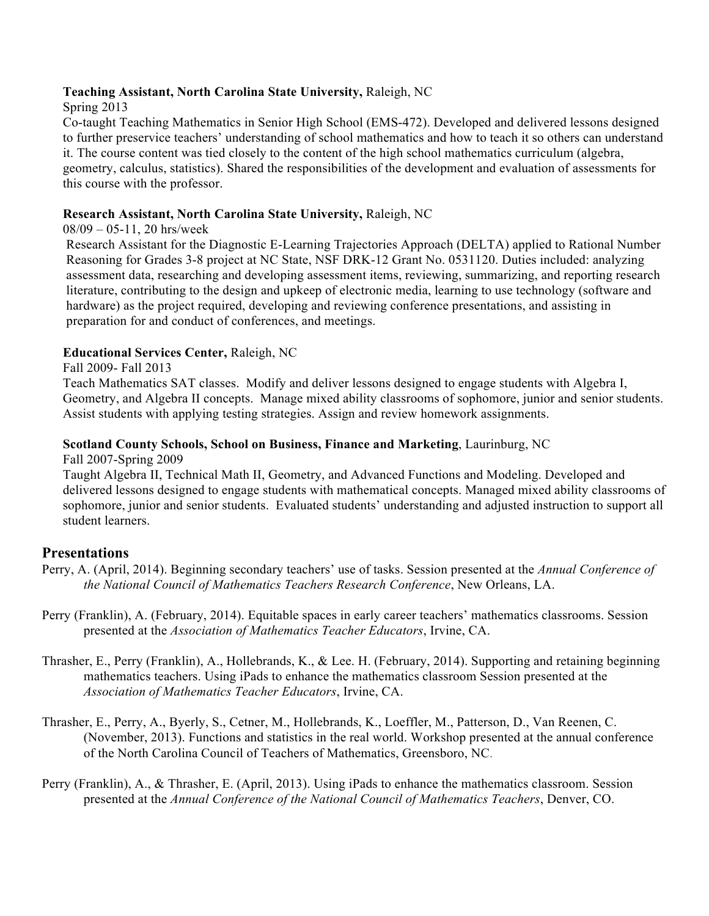#### **Teaching Assistant, North Carolina State University,** Raleigh, NC

Spring 2013

Co-taught Teaching Mathematics in Senior High School (EMS-472). Developed and delivered lessons designed to further preservice teachers' understanding of school mathematics and how to teach it so others can understand it. The course content was tied closely to the content of the high school mathematics curriculum (algebra, geometry, calculus, statistics). Shared the responsibilities of the development and evaluation of assessments for this course with the professor.

## **Research Assistant, North Carolina State University,** Raleigh, NC

#### 08/09 – 05-11, 20 hrs/week

Research Assistant for the Diagnostic E-Learning Trajectories Approach (DELTA) applied to Rational Number Reasoning for Grades 3-8 project at NC State, NSF DRK-12 Grant No. 0531120. Duties included: analyzing assessment data, researching and developing assessment items, reviewing, summarizing, and reporting research literature, contributing to the design and upkeep of electronic media, learning to use technology (software and hardware) as the project required, developing and reviewing conference presentations, and assisting in preparation for and conduct of conferences, and meetings.

## **Educational Services Center,** Raleigh, NC

Fall 2009- Fall 2013

Teach Mathematics SAT classes. Modify and deliver lessons designed to engage students with Algebra I, Geometry, and Algebra II concepts. Manage mixed ability classrooms of sophomore, junior and senior students. Assist students with applying testing strategies. Assign and review homework assignments.

## **Scotland County Schools, School on Business, Finance and Marketing**, Laurinburg, NC

Fall 2007-Spring 2009

Taught Algebra II, Technical Math II, Geometry, and Advanced Functions and Modeling. Developed and delivered lessons designed to engage students with mathematical concepts. Managed mixed ability classrooms of sophomore, junior and senior students. Evaluated students' understanding and adjusted instruction to support all student learners.

# **Presentations**

- Perry, A. (April, 2014). Beginning secondary teachers' use of tasks. Session presented at the *Annual Conference of the National Council of Mathematics Teachers Research Conference*, New Orleans, LA.
- Perry (Franklin), A. (February, 2014). Equitable spaces in early career teachers' mathematics classrooms. Session presented at the *Association of Mathematics Teacher Educators*, Irvine, CA.
- Thrasher, E., Perry (Franklin), A., Hollebrands, K., & Lee. H. (February, 2014). Supporting and retaining beginning mathematics teachers. Using iPads to enhance the mathematics classroom Session presented at the *Association of Mathematics Teacher Educators*, Irvine, CA.
- Thrasher, E., Perry, A., Byerly, S., Cetner, M., Hollebrands, K., Loeffler, M., Patterson, D., Van Reenen, C. (November, 2013). Functions and statistics in the real world. Workshop presented at the annual conference of the North Carolina Council of Teachers of Mathematics, Greensboro, NC.
- Perry (Franklin), A., & Thrasher, E. (April, 2013). Using iPads to enhance the mathematics classroom. Session presented at the *Annual Conference of the National Council of Mathematics Teachers*, Denver, CO.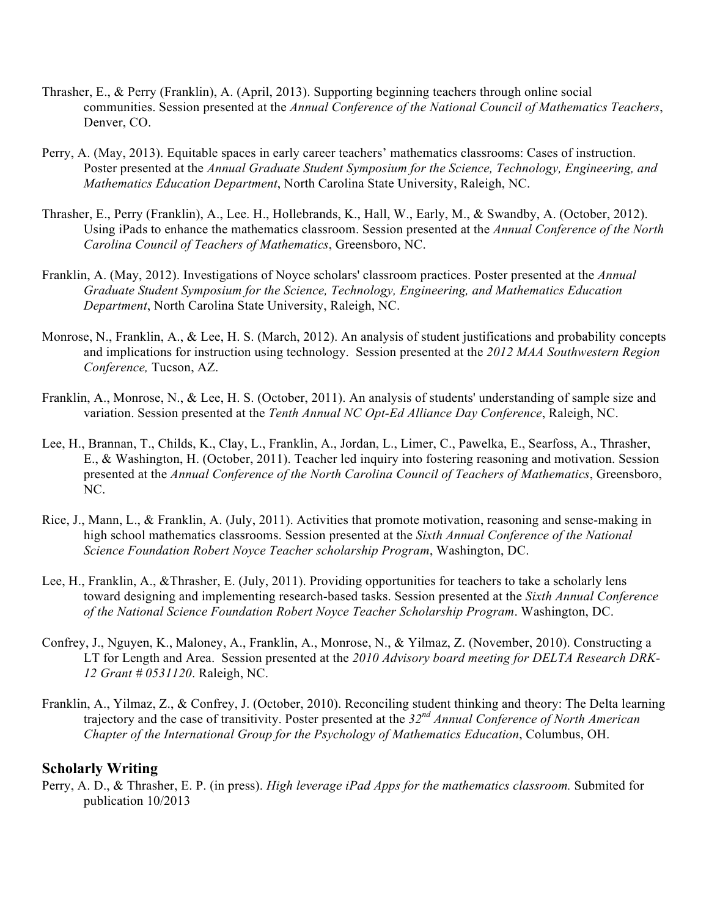- Thrasher, E., & Perry (Franklin), A. (April, 2013). Supporting beginning teachers through online social communities. Session presented at the *Annual Conference of the National Council of Mathematics Teachers*, Denver, CO.
- Perry, A. (May, 2013). Equitable spaces in early career teachers' mathematics classrooms: Cases of instruction. Poster presented at the *Annual Graduate Student Symposium for the Science, Technology, Engineering, and Mathematics Education Department*, North Carolina State University, Raleigh, NC.
- Thrasher, E., Perry (Franklin), A., Lee. H., Hollebrands, K., Hall, W., Early, M., & Swandby, A. (October, 2012). Using iPads to enhance the mathematics classroom. Session presented at the *Annual Conference of the North Carolina Council of Teachers of Mathematics*, Greensboro, NC.
- Franklin, A. (May, 2012). Investigations of Noyce scholars' classroom practices. Poster presented at the *Annual Graduate Student Symposium for the Science, Technology, Engineering, and Mathematics Education Department*, North Carolina State University, Raleigh, NC.
- Monrose, N., Franklin, A., & Lee, H. S. (March, 2012). An analysis of student justifications and probability concepts and implications for instruction using technology. Session presented at the *2012 MAA Southwestern Region Conference,* Tucson, AZ.
- Franklin, A., Monrose, N., & Lee, H. S. (October, 2011). An analysis of students' understanding of sample size and variation. Session presented at the *Tenth Annual NC Opt-Ed Alliance Day Conference*, Raleigh, NC.
- Lee, H., Brannan, T., Childs, K., Clay, L., Franklin, A., Jordan, L., Limer, C., Pawelka, E., Searfoss, A., Thrasher, E., & Washington, H. (October, 2011). Teacher led inquiry into fostering reasoning and motivation. Session presented at the *Annual Conference of the North Carolina Council of Teachers of Mathematics*, Greensboro, NC.
- Rice, J., Mann, L., & Franklin, A. (July, 2011). Activities that promote motivation, reasoning and sense-making in high school mathematics classrooms. Session presented at the *Sixth Annual Conference of the National Science Foundation Robert Noyce Teacher scholarship Program*, Washington, DC.
- Lee, H., Franklin, A., &Thrasher, E. (July, 2011). Providing opportunities for teachers to take a scholarly lens toward designing and implementing research-based tasks. Session presented at the *Sixth Annual Conference of the National Science Foundation Robert Noyce Teacher Scholarship Program*. Washington, DC.
- Confrey, J., Nguyen, K., Maloney, A., Franklin, A., Monrose, N., & Yilmaz, Z. (November, 2010). Constructing a LT for Length and Area. Session presented at the *2010 Advisory board meeting for DELTA Research DRK-12 Grant # 0531120*. Raleigh, NC.
- Franklin, A., Yilmaz, Z., & Confrey, J. (October, 2010). Reconciling student thinking and theory: The Delta learning trajectory and the case of transitivity. Poster presented at the *32nd Annual Conference of North American Chapter of the International Group for the Psychology of Mathematics Education*, Columbus, OH.

#### **Scholarly Writing**

Perry, A. D., & Thrasher, E. P. (in press). *High leverage iPad Apps for the mathematics classroom.* Submited for publication 10/2013